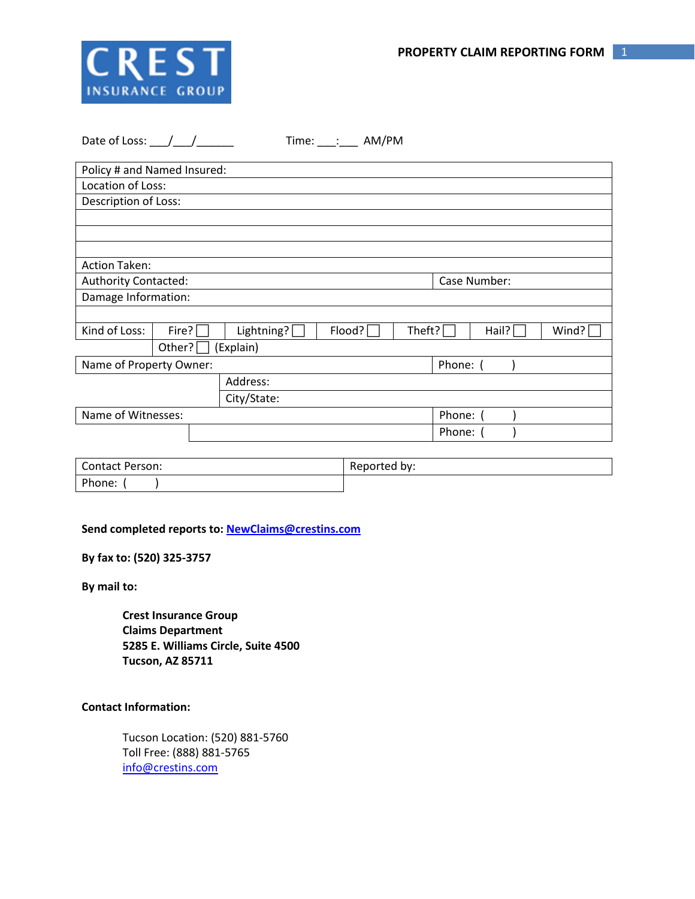

| Date of Loss: $\frac{1}{2}$ |       |  |                     | Time: $\frac{1}{\sqrt{2}}$ AM/PM |        |              |       |       |  |
|-----------------------------|-------|--|---------------------|----------------------------------|--------|--------------|-------|-------|--|
| Policy # and Named Insured: |       |  |                     |                                  |        |              |       |       |  |
| Location of Loss:           |       |  |                     |                                  |        |              |       |       |  |
| Description of Loss:        |       |  |                     |                                  |        |              |       |       |  |
|                             |       |  |                     |                                  |        |              |       |       |  |
|                             |       |  |                     |                                  |        |              |       |       |  |
|                             |       |  |                     |                                  |        |              |       |       |  |
| <b>Action Taken:</b>        |       |  |                     |                                  |        |              |       |       |  |
| <b>Authority Contacted:</b> |       |  |                     |                                  |        | Case Number: |       |       |  |
| Damage Information:         |       |  |                     |                                  |        |              |       |       |  |
|                             |       |  |                     |                                  |        |              |       |       |  |
| Kind of Loss:               | Fire? |  | Lightning? $\lceil$ | Flood?                           | Theft? |              | Hail? | Wind? |  |
| (Explain)<br>Other? $\Box$  |       |  |                     |                                  |        |              |       |       |  |
| Name of Property Owner:     |       |  |                     |                                  |        | Phone: (     |       |       |  |
|                             |       |  | Address:            |                                  |        |              |       |       |  |
|                             |       |  | City/State:         |                                  |        |              |       |       |  |
| Name of Witnesses:          |       |  |                     |                                  |        | Phone: (     |       |       |  |
|                             |       |  |                     |                                  |        | Phone: (     |       |       |  |
|                             |       |  |                     |                                  |        |              |       |       |  |

| <b>Contact Person:</b> | Reported by: |  |  |  |
|------------------------|--------------|--|--|--|
| Phone:                 |              |  |  |  |

**Send completed reports to: [NewClaims@crestins.com](mailto:NewClaims@crestins.com)**

**By fax to: (520) 325-3757**

**By mail to:**

**Crest Insurance Group Claims Department 5285 E. Williams Circle, Suite 4500 Tucson, AZ 85711**

## **Contact Information:**

Tucson Location: (520) 881-5760 Toll Free: (888) 881-5765 [info@crestins.com](mailto:info@crestins.com)